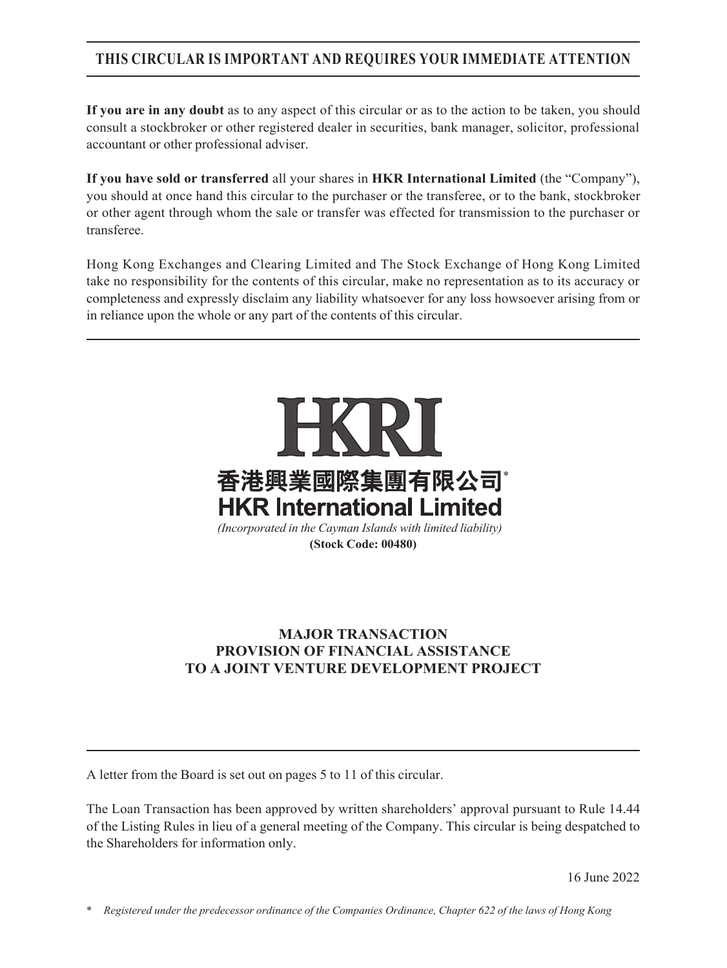## **THIS CIRCULAR IS IMPORTANT AND REQUIRES YOUR IMMEDIATE ATTENTION**

**If you are in any doubt** as to any aspect of this circular or as to the action to be taken, you should consult a stockbroker or other registered dealer in securities, bank manager, solicitor, professional accountant or other professional adviser.

**If you have sold or transferred** all your shares in **HKR International Limited** (the "Company"), you should at once hand this circular to the purchaser or the transferee, or to the bank, stockbroker or other agent through whom the sale or transfer was effected for transmission to the purchaser or transferee.

Hong Kong Exchanges and Clearing Limited and The Stock Exchange of Hong Kong Limited take no responsibility for the contents of this circular, make no representation as to its accuracy or completeness and expressly disclaim any liability whatsoever for any loss howsoever arising from or in reliance upon the whole or any part of the contents of this circular.



*(Incorporated in the Cayman Islands with limited liability)* **(Stock Code: 00480)**

## **MAJOR TRANSACTION PROVISION OF FINANCIAL ASSISTANCE TO A JOINT VENTURE DEVELOPMENT PROJECT**

A letter from the Board is set out on pages 5 to 11 of this circular.

The Loan Transaction has been approved by written shareholders' approval pursuant to Rule 14.44 of the Listing Rules in lieu of a general meeting of the Company. This circular is being despatched to the Shareholders for information only.

16 June 2022

\* *Registered under the predecessor ordinance of the Companies Ordinance, Chapter 622 of the laws of Hong Kong*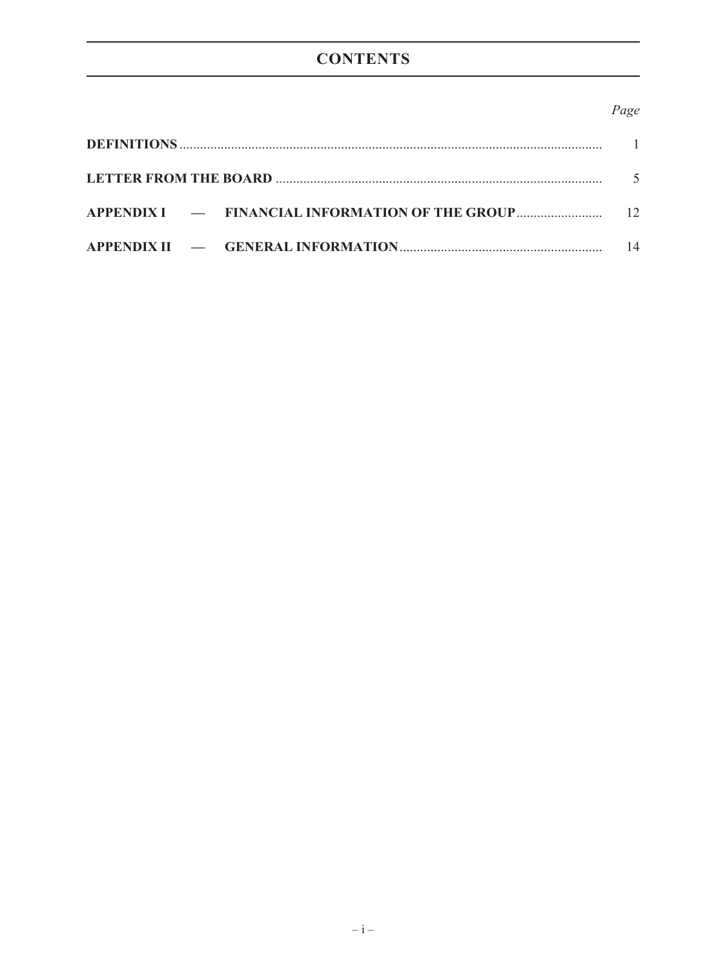# **CONTENTS**

### Page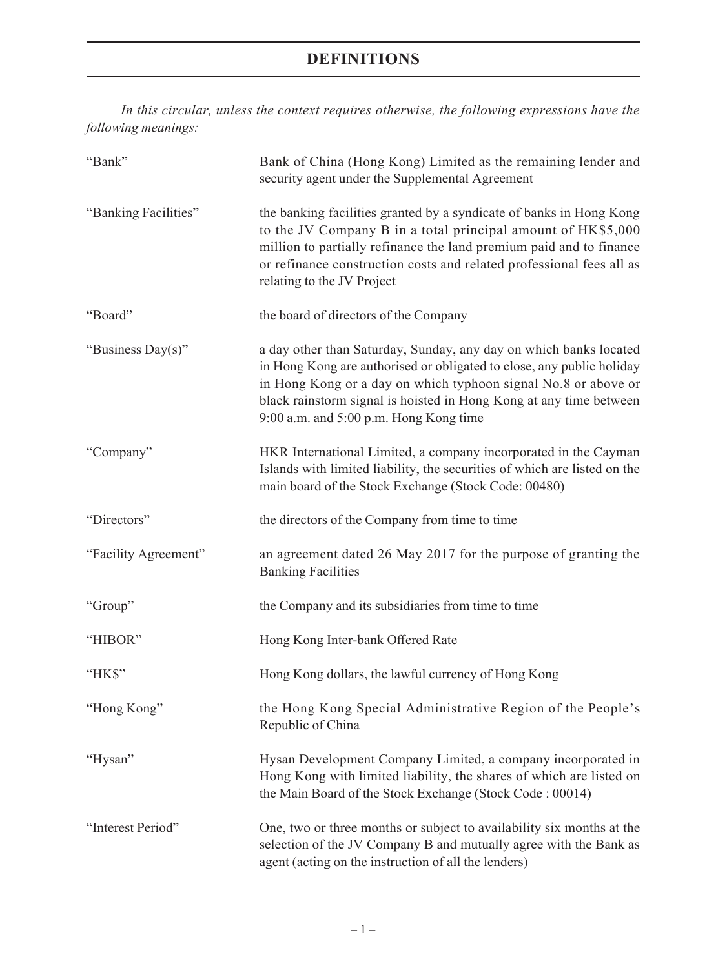*In this circular, unless the context requires otherwise, the following expressions have the following meanings:*

| "Bank"               | Bank of China (Hong Kong) Limited as the remaining lender and<br>security agent under the Supplemental Agreement                                                                                                                                                                                                             |
|----------------------|------------------------------------------------------------------------------------------------------------------------------------------------------------------------------------------------------------------------------------------------------------------------------------------------------------------------------|
| "Banking Facilities" | the banking facilities granted by a syndicate of banks in Hong Kong<br>to the JV Company B in a total principal amount of HK\$5,000<br>million to partially refinance the land premium paid and to finance<br>or refinance construction costs and related professional fees all as<br>relating to the JV Project             |
| "Board"              | the board of directors of the Company                                                                                                                                                                                                                                                                                        |
| "Business Day(s)"    | a day other than Saturday, Sunday, any day on which banks located<br>in Hong Kong are authorised or obligated to close, any public holiday<br>in Hong Kong or a day on which typhoon signal No.8 or above or<br>black rainstorm signal is hoisted in Hong Kong at any time between<br>9:00 a.m. and 5:00 p.m. Hong Kong time |
| "Company"            | HKR International Limited, a company incorporated in the Cayman<br>Islands with limited liability, the securities of which are listed on the<br>main board of the Stock Exchange (Stock Code: 00480)                                                                                                                         |
| "Directors"          | the directors of the Company from time to time                                                                                                                                                                                                                                                                               |
| "Facility Agreement" | an agreement dated 26 May 2017 for the purpose of granting the<br><b>Banking Facilities</b>                                                                                                                                                                                                                                  |
| "Group"              | the Company and its subsidiaries from time to time                                                                                                                                                                                                                                                                           |
| "HIBOR"              | Hong Kong Inter-bank Offered Rate                                                                                                                                                                                                                                                                                            |
| "HK\$"               | Hong Kong dollars, the lawful currency of Hong Kong                                                                                                                                                                                                                                                                          |
| "Hong Kong"          | the Hong Kong Special Administrative Region of the People's<br>Republic of China                                                                                                                                                                                                                                             |
| "Hysan"              | Hysan Development Company Limited, a company incorporated in<br>Hong Kong with limited liability, the shares of which are listed on<br>the Main Board of the Stock Exchange (Stock Code: 00014)                                                                                                                              |
| "Interest Period"    | One, two or three months or subject to availability six months at the<br>selection of the JV Company B and mutually agree with the Bank as<br>agent (acting on the instruction of all the lenders)                                                                                                                           |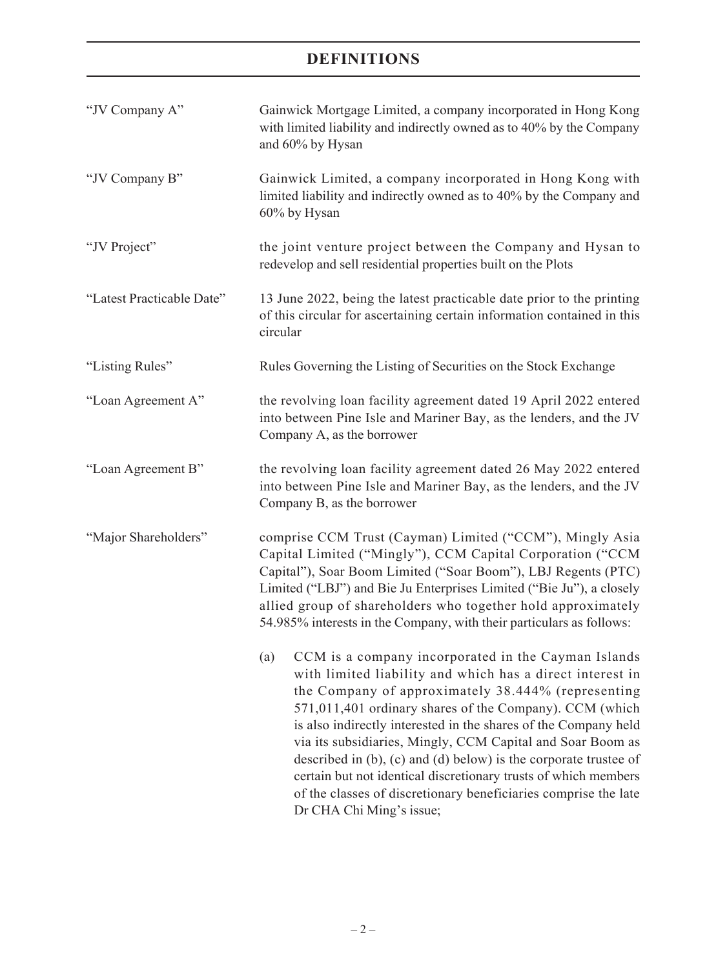| "JV Company A"            | Gainwick Mortgage Limited, a company incorporated in Hong Kong<br>with limited liability and indirectly owned as to 40% by the Company<br>and 60% by Hysan                                                                                                                                                                                                                                                                                                                                                                                                                                                             |
|---------------------------|------------------------------------------------------------------------------------------------------------------------------------------------------------------------------------------------------------------------------------------------------------------------------------------------------------------------------------------------------------------------------------------------------------------------------------------------------------------------------------------------------------------------------------------------------------------------------------------------------------------------|
| "JV Company B"            | Gainwick Limited, a company incorporated in Hong Kong with<br>limited liability and indirectly owned as to 40% by the Company and<br>60% by Hysan                                                                                                                                                                                                                                                                                                                                                                                                                                                                      |
| "JV Project"              | the joint venture project between the Company and Hysan to<br>redevelop and sell residential properties built on the Plots                                                                                                                                                                                                                                                                                                                                                                                                                                                                                             |
| "Latest Practicable Date" | 13 June 2022, being the latest practicable date prior to the printing<br>of this circular for ascertaining certain information contained in this<br>circular                                                                                                                                                                                                                                                                                                                                                                                                                                                           |
| "Listing Rules"           | Rules Governing the Listing of Securities on the Stock Exchange                                                                                                                                                                                                                                                                                                                                                                                                                                                                                                                                                        |
| "Loan Agreement A"        | the revolving loan facility agreement dated 19 April 2022 entered<br>into between Pine Isle and Mariner Bay, as the lenders, and the JV<br>Company A, as the borrower                                                                                                                                                                                                                                                                                                                                                                                                                                                  |
| "Loan Agreement B"        | the revolving loan facility agreement dated 26 May 2022 entered<br>into between Pine Isle and Mariner Bay, as the lenders, and the JV<br>Company B, as the borrower                                                                                                                                                                                                                                                                                                                                                                                                                                                    |
| "Major Shareholders"      | comprise CCM Trust (Cayman) Limited ("CCM"), Mingly Asia<br>Capital Limited ("Mingly"), CCM Capital Corporation ("CCM<br>Capital"), Soar Boom Limited ("Soar Boom"), LBJ Regents (PTC)<br>Limited ("LBJ") and Bie Ju Enterprises Limited ("Bie Ju"), a closely<br>allied group of shareholders who together hold approximately<br>54.985% interests in the Company, with their particulars as follows:                                                                                                                                                                                                                 |
|                           | (a)<br>CCM is a company incorporated in the Cayman Islands<br>with limited liability and which has a direct interest in<br>the Company of approximately 38.444% (representing<br>571,011,401 ordinary shares of the Company). CCM (which<br>is also indirectly interested in the shares of the Company held<br>via its subsidiaries, Mingly, CCM Capital and Soar Boom as<br>described in $(b)$ , $(c)$ and $(d)$ below) is the corporate trustee of<br>certain but not identical discretionary trusts of which members<br>of the classes of discretionary beneficiaries comprise the late<br>Dr CHA Chi Ming's issue; |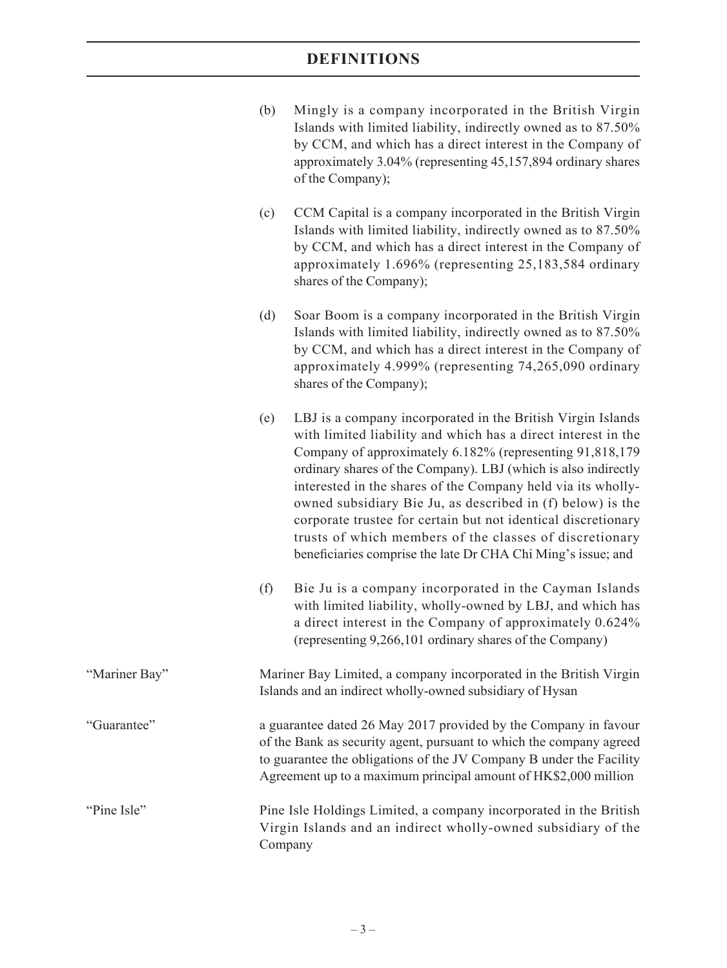| (b) | Mingly is a company incorporated in the British Virgin        |
|-----|---------------------------------------------------------------|
|     | Islands with limited liability, indirectly owned as to 87.50% |
|     | by CCM, and which has a direct interest in the Company of     |
|     | approximately 3.04% (representing 45,157,894 ordinary shares  |
|     | of the Company);                                              |

- (c) CCM Capital is a company incorporated in the British Virgin Islands with limited liability, indirectly owned as to 87.50% by CCM, and which has a direct interest in the Company of approximately 1.696% (representing 25,183,584 ordinary shares of the Company);
- (d) Soar Boom is a company incorporated in the British Virgin Islands with limited liability, indirectly owned as to 87.50% by CCM, and which has a direct interest in the Company of approximately 4.999% (representing 74,265,090 ordinary shares of the Company);
- (e) LBJ is a company incorporated in the British Virgin Islands with limited liability and which has a direct interest in the Company of approximately 6.182% (representing 91,818,179 ordinary shares of the Company). LBJ (which is also indirectly interested in the shares of the Company held via its whollyowned subsidiary Bie Ju, as described in (f) below) is the corporate trustee for certain but not identical discretionary trusts of which members of the classes of discretionary beneficiaries comprise the late Dr CHA Chi Ming's issue; and
- (f) Bie Ju is a company incorporated in the Cayman Islands with limited liability, wholly-owned by LBJ, and which has a direct interest in the Company of approximately 0.624% (representing 9,266,101 ordinary shares of the Company)
- "Mariner Bay" Mariner Bay Limited, a company incorporated in the British Virgin Islands and an indirect wholly-owned subsidiary of Hysan

"Guarantee" a guarantee dated 26 May 2017 provided by the Company in favour of the Bank as security agent, pursuant to which the company agreed to guarantee the obligations of the JV Company B under the Facility Agreement up to a maximum principal amount of HK\$2,000 million

"Pine Isle" Pine Isle Holdings Limited, a company incorporated in the British Virgin Islands and an indirect wholly-owned subsidiary of the Company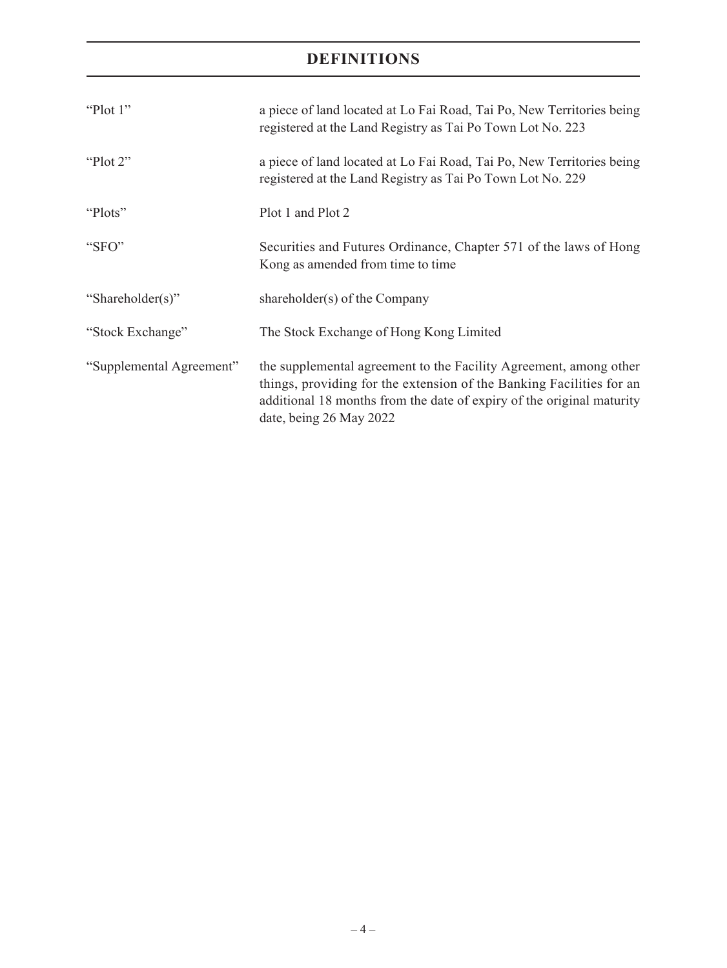| "Plot $1$ "              | a piece of land located at Lo Fai Road, Tai Po, New Territories being<br>registered at the Land Registry as Tai Po Town Lot No. 223                                                                                                           |
|--------------------------|-----------------------------------------------------------------------------------------------------------------------------------------------------------------------------------------------------------------------------------------------|
| "Plot $2$ "              | a piece of land located at Lo Fai Road, Tai Po, New Territories being<br>registered at the Land Registry as Tai Po Town Lot No. 229                                                                                                           |
| "Plots"                  | Plot 1 and Plot 2                                                                                                                                                                                                                             |
| "SFO"                    | Securities and Futures Ordinance, Chapter 571 of the laws of Hong<br>Kong as amended from time to time                                                                                                                                        |
| "Shareholder(s)"         | shareholder(s) of the Company                                                                                                                                                                                                                 |
| "Stock Exchange"         | The Stock Exchange of Hong Kong Limited                                                                                                                                                                                                       |
| "Supplemental Agreement" | the supplemental agreement to the Facility Agreement, among other<br>things, providing for the extension of the Banking Facilities for an<br>additional 18 months from the date of expiry of the original maturity<br>date, being 26 May 2022 |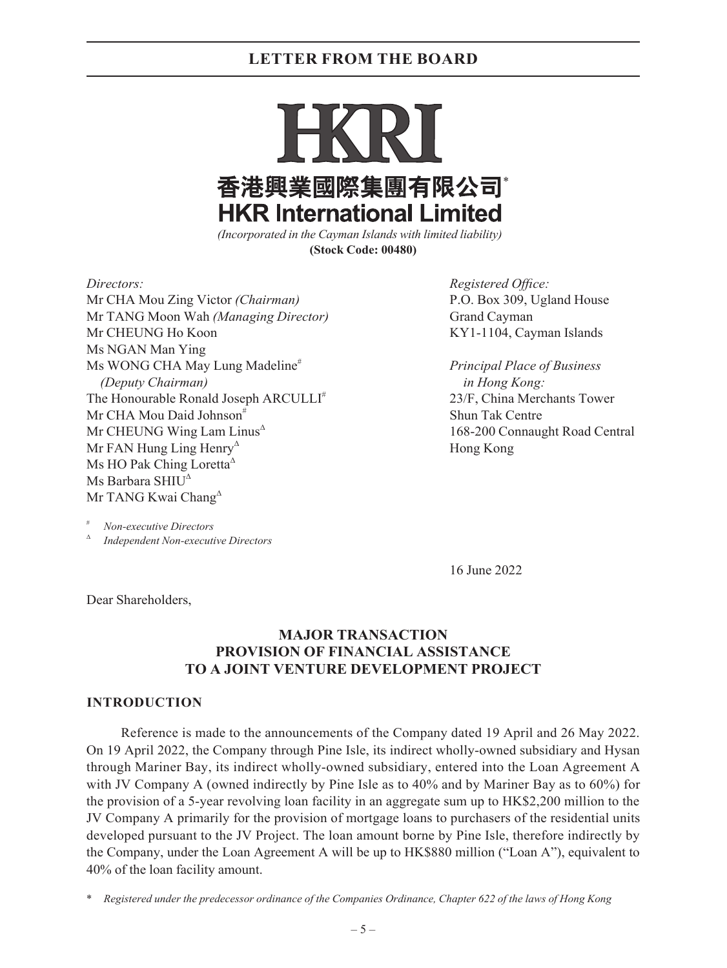香港興業國際集團有限公司\* **HKR International Limited** 

*(Incorporated in the Cayman Islands with limited liability)* **(Stock Code: 00480)**

Mr CHA Mou Zing Victor *(Chairman)* P.O. Box 309, Ugland House Mr TANG Moon Wah *(Managing Director)* Grand Cayman Mr CHEUNG Ho Koon **KY1-1104**, Cayman Islands Ms NGAN Man Ying Ms WONG CHA May Lung Madeline# *Principal Place of Business (Deputy Chairman) in Hong Kong:* The Honourable Ronald Joseph ARCULLI<sup>#</sup> 23/F, China Merchants Tower Mr CHA Mou Daid Johnson<sup>#</sup> Shun Tak Centre  $Mr$  CHEUNG Wing Lam Linus<sup> $\triangle$ </sup> 168-200 Connaught Road Central Mr FAN Hung Ling Henry<sup> $\triangle$ </sup> Hong Kong Ms HO Pak Ching Loretta<sup> $\triangle$ </sup> Ms Barbara SHIU<sup> $\triangle$ </sup> Mr TANG Kwai Chang<sup> $\triangle$ </sup>

*Directors: Registered Office:*

 $Non\text{-}execute\,Directors$ 

<sup>Δ</sup> *Independent Non-executive Directors*

16 June 2022

Dear Shareholders,

### **MAJOR TRANSACTION PROVISION OF FINANCIAL ASSISTANCE TO A JOINT VENTURE DEVELOPMENT PROJECT**

#### **INTRODUCTION**

Reference is made to the announcements of the Company dated 19 April and 26 May 2022. On 19 April 2022, the Company through Pine Isle, its indirect wholly-owned subsidiary and Hysan through Mariner Bay, its indirect wholly-owned subsidiary, entered into the Loan Agreement A with JV Company A (owned indirectly by Pine Isle as to 40% and by Mariner Bay as to 60%) for the provision of a 5-year revolving loan facility in an aggregate sum up to HK\$2,200 million to the JV Company A primarily for the provision of mortgage loans to purchasers of the residential units developed pursuant to the JV Project. The loan amount borne by Pine Isle, therefore indirectly by the Company, under the Loan Agreement A will be up to HK\$880 million ("Loan A"), equivalent to 40% of the loan facility amount.

\* *Registered under the predecessor ordinance of the Companies Ordinance, Chapter 622 of the laws of Hong Kong*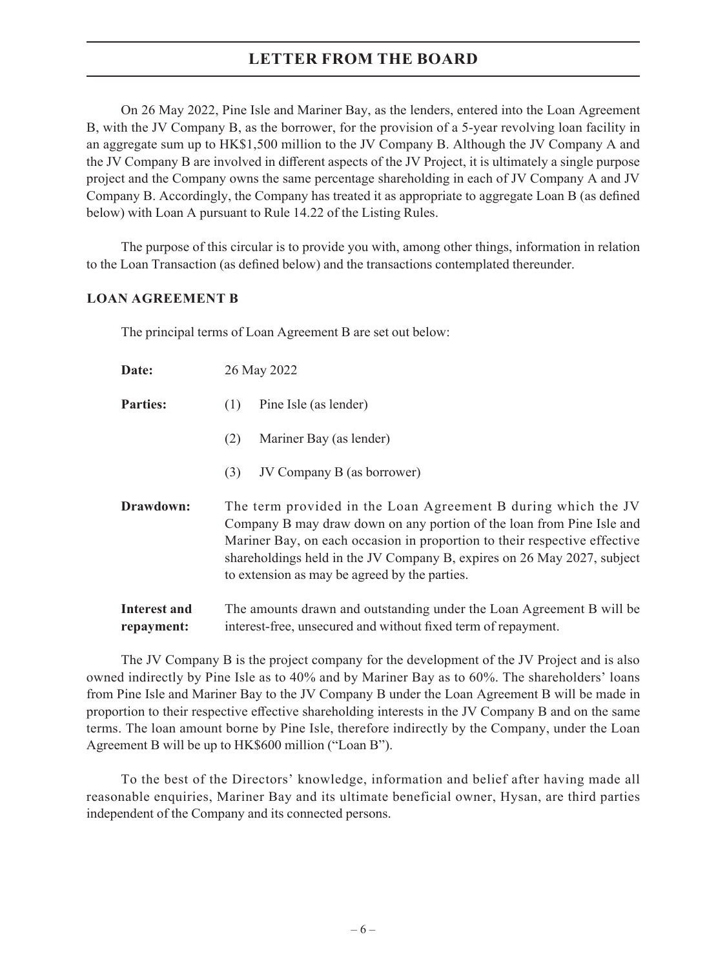On 26 May 2022, Pine Isle and Mariner Bay, as the lenders, entered into the Loan Agreement B, with the JV Company B, as the borrower, for the provision of a 5-year revolving loan facility in an aggregate sum up to HK\$1,500 million to the JV Company B. Although the JV Company A and the JV Company B are involved in different aspects of the JV Project, it is ultimately a single purpose project and the Company owns the same percentage shareholding in each of JV Company A and JV Company B. Accordingly, the Company has treated it as appropriate to aggregate Loan B (as defined below) with Loan A pursuant to Rule 14.22 of the Listing Rules.

The purpose of this circular is to provide you with, among other things, information in relation to the Loan Transaction (as defined below) and the transactions contemplated thereunder.

#### **LOAN AGREEMENT B**

The principal terms of Loan Agreement B are set out below:

| Date:                      | 26 May 2022                                                                                                                                                                                                                                                                                                                                     |
|----------------------------|-------------------------------------------------------------------------------------------------------------------------------------------------------------------------------------------------------------------------------------------------------------------------------------------------------------------------------------------------|
| <b>Parties:</b>            | Pine Isle (as lender)<br>(1)                                                                                                                                                                                                                                                                                                                    |
|                            | Mariner Bay (as lender)<br>(2)                                                                                                                                                                                                                                                                                                                  |
|                            | JV Company B (as borrower)<br>(3)                                                                                                                                                                                                                                                                                                               |
| Drawdown:                  | The term provided in the Loan Agreement B during which the JV<br>Company B may draw down on any portion of the loan from Pine Isle and<br>Mariner Bay, on each occasion in proportion to their respective effective<br>shareholdings held in the JV Company B, expires on 26 May 2027, subject<br>to extension as may be agreed by the parties. |
| Interest and<br>repayment: | The amounts drawn and outstanding under the Loan Agreement B will be<br>interest-free, unsecured and without fixed term of repayment.                                                                                                                                                                                                           |

The JV Company B is the project company for the development of the JV Project and is also owned indirectly by Pine Isle as to 40% and by Mariner Bay as to 60%. The shareholders' loans from Pine Isle and Mariner Bay to the JV Company B under the Loan Agreement B will be made in proportion to their respective effective shareholding interests in the JV Company B and on the same terms. The loan amount borne by Pine Isle, therefore indirectly by the Company, under the Loan Agreement B will be up to HK\$600 million ("Loan B").

To the best of the Directors' knowledge, information and belief after having made all reasonable enquiries, Mariner Bay and its ultimate beneficial owner, Hysan, are third parties independent of the Company and its connected persons.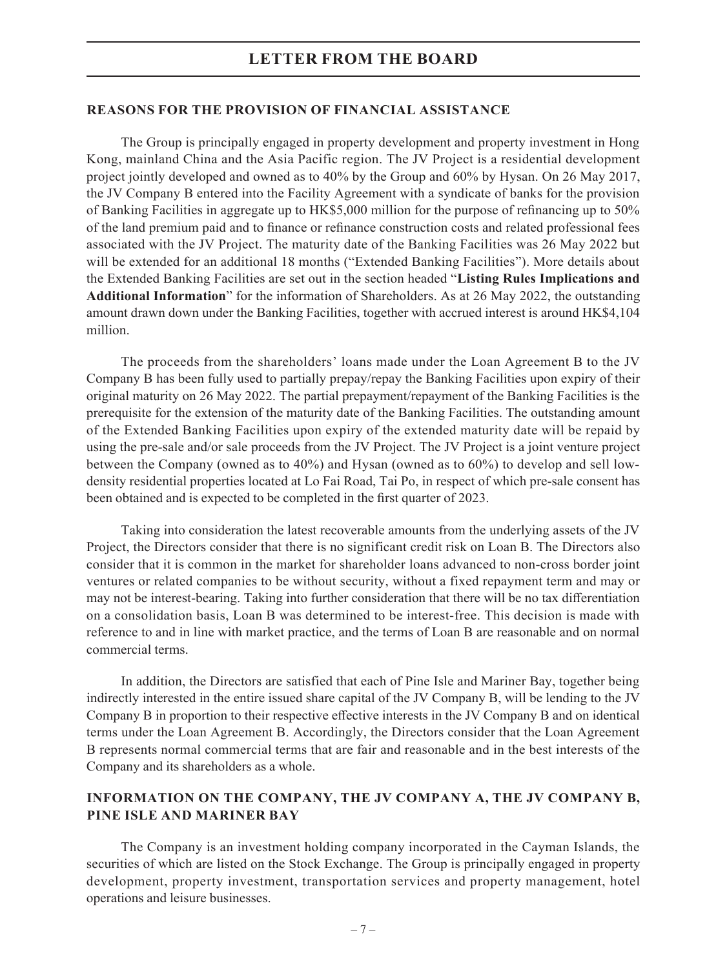#### **REASONS FOR THE PROVISION OF FINANCIAL ASSISTANCE**

The Group is principally engaged in property development and property investment in Hong Kong, mainland China and the Asia Pacific region. The JV Project is a residential development project jointly developed and owned as to 40% by the Group and 60% by Hysan. On 26 May 2017, the JV Company B entered into the Facility Agreement with a syndicate of banks for the provision of Banking Facilities in aggregate up to HK\$5,000 million for the purpose of refinancing up to 50% of the land premium paid and to finance or refinance construction costs and related professional fees associated with the JV Project. The maturity date of the Banking Facilities was 26 May 2022 but will be extended for an additional 18 months ("Extended Banking Facilities"). More details about the Extended Banking Facilities are set out in the section headed "**Listing Rules Implications and Additional Information**" for the information of Shareholders. As at 26 May 2022, the outstanding amount drawn down under the Banking Facilities, together with accrued interest is around HK\$4,104 million.

The proceeds from the shareholders' loans made under the Loan Agreement B to the JV Company B has been fully used to partially prepay/repay the Banking Facilities upon expiry of their original maturity on 26 May 2022. The partial prepayment/repayment of the Banking Facilities is the prerequisite for the extension of the maturity date of the Banking Facilities. The outstanding amount of the Extended Banking Facilities upon expiry of the extended maturity date will be repaid by using the pre-sale and/or sale proceeds from the JV Project. The JV Project is a joint venture project between the Company (owned as to 40%) and Hysan (owned as to 60%) to develop and sell lowdensity residential properties located at Lo Fai Road, Tai Po, in respect of which pre-sale consent has been obtained and is expected to be completed in the first quarter of 2023.

Taking into consideration the latest recoverable amounts from the underlying assets of the JV Project, the Directors consider that there is no significant credit risk on Loan B. The Directors also consider that it is common in the market for shareholder loans advanced to non-cross border joint ventures or related companies to be without security, without a fixed repayment term and may or may not be interest-bearing. Taking into further consideration that there will be no tax differentiation on a consolidation basis, Loan B was determined to be interest-free. This decision is made with reference to and in line with market practice, and the terms of Loan B are reasonable and on normal commercial terms.

In addition, the Directors are satisfied that each of Pine Isle and Mariner Bay, together being indirectly interested in the entire issued share capital of the JV Company B, will be lending to the JV Company B in proportion to their respective effective interests in the JV Company B and on identical terms under the Loan Agreement B. Accordingly, the Directors consider that the Loan Agreement B represents normal commercial terms that are fair and reasonable and in the best interests of the Company and its shareholders as a whole.

### **INFORMATION ON THE COMPANY, THE JV COMPANY A, THE JV COMPANY B, PINE ISLE AND MARINER BAY**

The Company is an investment holding company incorporated in the Cayman Islands, the securities of which are listed on the Stock Exchange. The Group is principally engaged in property development, property investment, transportation services and property management, hotel operations and leisure businesses.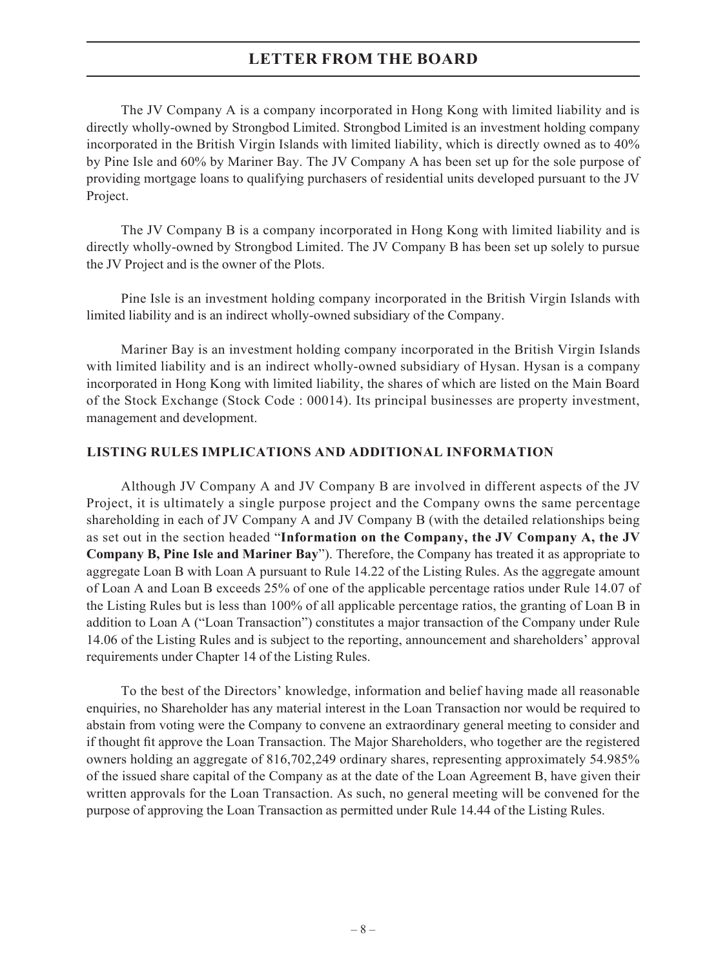The JV Company A is a company incorporated in Hong Kong with limited liability and is directly wholly-owned by Strongbod Limited. Strongbod Limited is an investment holding company incorporated in the British Virgin Islands with limited liability, which is directly owned as to 40% by Pine Isle and 60% by Mariner Bay. The JV Company A has been set up for the sole purpose of providing mortgage loans to qualifying purchasers of residential units developed pursuant to the JV Project.

The JV Company B is a company incorporated in Hong Kong with limited liability and is directly wholly-owned by Strongbod Limited. The JV Company B has been set up solely to pursue the JV Project and is the owner of the Plots.

Pine Isle is an investment holding company incorporated in the British Virgin Islands with limited liability and is an indirect wholly-owned subsidiary of the Company.

Mariner Bay is an investment holding company incorporated in the British Virgin Islands with limited liability and is an indirect wholly-owned subsidiary of Hysan. Hysan is a company incorporated in Hong Kong with limited liability, the shares of which are listed on the Main Board of the Stock Exchange (Stock Code : 00014). Its principal businesses are property investment, management and development.

#### **LISTING RULES IMPLICATIONS AND ADDITIONAL INFORMATION**

Although JV Company A and JV Company B are involved in different aspects of the JV Project, it is ultimately a single purpose project and the Company owns the same percentage shareholding in each of JV Company A and JV Company B (with the detailed relationships being as set out in the section headed "**Information on the Company, the JV Company A, the JV Company B, Pine Isle and Mariner Bay**"). Therefore, the Company has treated it as appropriate to aggregate Loan B with Loan A pursuant to Rule 14.22 of the Listing Rules. As the aggregate amount of Loan A and Loan B exceeds 25% of one of the applicable percentage ratios under Rule 14.07 of the Listing Rules but is less than 100% of all applicable percentage ratios, the granting of Loan B in addition to Loan A ("Loan Transaction") constitutes a major transaction of the Company under Rule 14.06 of the Listing Rules and is subject to the reporting, announcement and shareholders' approval requirements under Chapter 14 of the Listing Rules.

To the best of the Directors' knowledge, information and belief having made all reasonable enquiries, no Shareholder has any material interest in the Loan Transaction nor would be required to abstain from voting were the Company to convene an extraordinary general meeting to consider and if thought fit approve the Loan Transaction. The Major Shareholders, who together are the registered owners holding an aggregate of 816,702,249 ordinary shares, representing approximately 54.985% of the issued share capital of the Company as at the date of the Loan Agreement B, have given their written approvals for the Loan Transaction. As such, no general meeting will be convened for the purpose of approving the Loan Transaction as permitted under Rule 14.44 of the Listing Rules.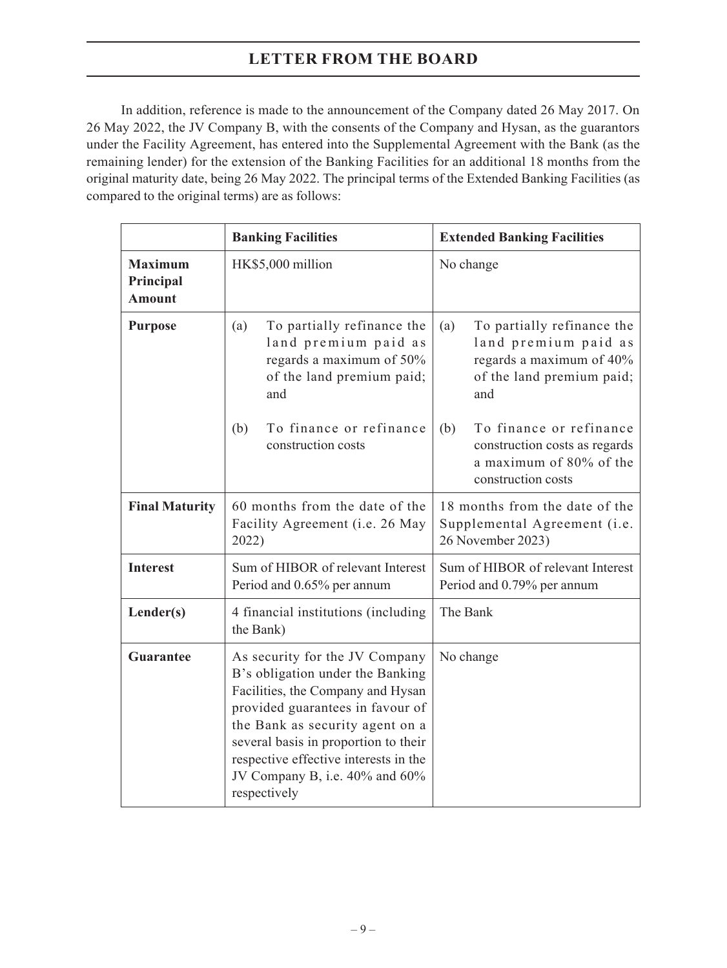In addition, reference is made to the announcement of the Company dated 26 May 2017. On 26 May 2022, the JV Company B, with the consents of the Company and Hysan, as the guarantors under the Facility Agreement, has entered into the Supplemental Agreement with the Bank (as the remaining lender) for the extension of the Banking Facilities for an additional 18 months from the original maturity date, being 26 May 2022. The principal terms of the Extended Banking Facilities (as compared to the original terms) are as follows:

|                                              | <b>Banking Facilities</b>                                                                                                                                                                                                                                                                                         | <b>Extended Banking Facilities</b>                                                                                        |  |  |
|----------------------------------------------|-------------------------------------------------------------------------------------------------------------------------------------------------------------------------------------------------------------------------------------------------------------------------------------------------------------------|---------------------------------------------------------------------------------------------------------------------------|--|--|
| <b>Maximum</b><br>Principal<br><b>Amount</b> | HK\$5,000 million                                                                                                                                                                                                                                                                                                 | No change                                                                                                                 |  |  |
| <b>Purpose</b>                               | To partially refinance the<br>(a)<br>land premium paid as<br>regards a maximum of 50%<br>of the land premium paid;<br>and                                                                                                                                                                                         | To partially refinance the<br>(a)<br>land premium paid as<br>regards a maximum of 40%<br>of the land premium paid;<br>and |  |  |
|                                              | To finance or refinance<br>(b)<br>construction costs                                                                                                                                                                                                                                                              | To finance or refinance<br>(b)<br>construction costs as regards<br>a maximum of 80% of the<br>construction costs          |  |  |
| <b>Final Maturity</b>                        | 60 months from the date of the<br>Facility Agreement (i.e. 26 May<br>2022)                                                                                                                                                                                                                                        | 18 months from the date of the<br>Supplemental Agreement (i.e.<br>26 November 2023)                                       |  |  |
| <b>Interest</b>                              | Sum of HIBOR of relevant Interest<br>Period and 0.65% per annum                                                                                                                                                                                                                                                   | Sum of HIBOR of relevant Interest<br>Period and 0.79% per annum                                                           |  |  |
| Lender(s)                                    | 4 financial institutions (including<br>the Bank)                                                                                                                                                                                                                                                                  | The Bank                                                                                                                  |  |  |
| <b>Guarantee</b>                             | As security for the JV Company<br>B's obligation under the Banking<br>Facilities, the Company and Hysan<br>provided guarantees in favour of<br>the Bank as security agent on a<br>several basis in proportion to their<br>respective effective interests in the<br>JV Company B, i.e. 40% and 60%<br>respectively | No change                                                                                                                 |  |  |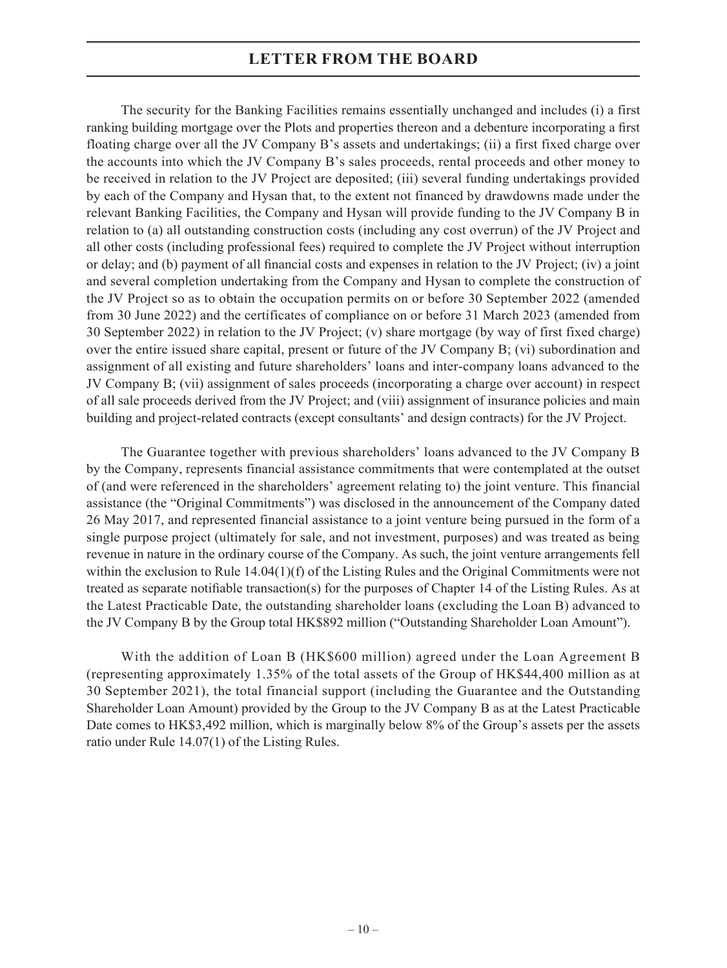The security for the Banking Facilities remains essentially unchanged and includes (i) a first ranking building mortgage over the Plots and properties thereon and a debenture incorporating a first floating charge over all the JV Company B's assets and undertakings; (ii) a first fixed charge over the accounts into which the JV Company B's sales proceeds, rental proceeds and other money to be received in relation to the JV Project are deposited; (iii) several funding undertakings provided by each of the Company and Hysan that, to the extent not financed by drawdowns made under the relevant Banking Facilities, the Company and Hysan will provide funding to the JV Company B in relation to (a) all outstanding construction costs (including any cost overrun) of the JV Project and all other costs (including professional fees) required to complete the JV Project without interruption or delay; and (b) payment of all financial costs and expenses in relation to the JV Project; (iv) a joint and several completion undertaking from the Company and Hysan to complete the construction of the JV Project so as to obtain the occupation permits on or before 30 September 2022 (amended from 30 June 2022) and the certificates of compliance on or before 31 March 2023 (amended from 30 September 2022) in relation to the JV Project; (v) share mortgage (by way of first fixed charge) over the entire issued share capital, present or future of the JV Company B; (vi) subordination and assignment of all existing and future shareholders' loans and inter-company loans advanced to the JV Company B; (vii) assignment of sales proceeds (incorporating a charge over account) in respect of all sale proceeds derived from the JV Project; and (viii) assignment of insurance policies and main building and project-related contracts (except consultants' and design contracts) for the JV Project.

The Guarantee together with previous shareholders' loans advanced to the JV Company B by the Company, represents financial assistance commitments that were contemplated at the outset of (and were referenced in the shareholders' agreement relating to) the joint venture. This financial assistance (the "Original Commitments") was disclosed in the announcement of the Company dated 26 May 2017, and represented financial assistance to a joint venture being pursued in the form of a single purpose project (ultimately for sale, and not investment, purposes) and was treated as being revenue in nature in the ordinary course of the Company. As such, the joint venture arrangements fell within the exclusion to Rule 14.04(1)(f) of the Listing Rules and the Original Commitments were not treated as separate notifiable transaction(s) for the purposes of Chapter 14 of the Listing Rules. As at the Latest Practicable Date, the outstanding shareholder loans (excluding the Loan B) advanced to the JV Company B by the Group total HK\$892 million ("Outstanding Shareholder Loan Amount").

With the addition of Loan B (HK\$600 million) agreed under the Loan Agreement B (representing approximately 1.35% of the total assets of the Group of HK\$44,400 million as at 30 September 2021), the total financial support (including the Guarantee and the Outstanding Shareholder Loan Amount) provided by the Group to the JV Company B as at the Latest Practicable Date comes to HK\$3,492 million, which is marginally below 8% of the Group's assets per the assets ratio under Rule 14.07(1) of the Listing Rules.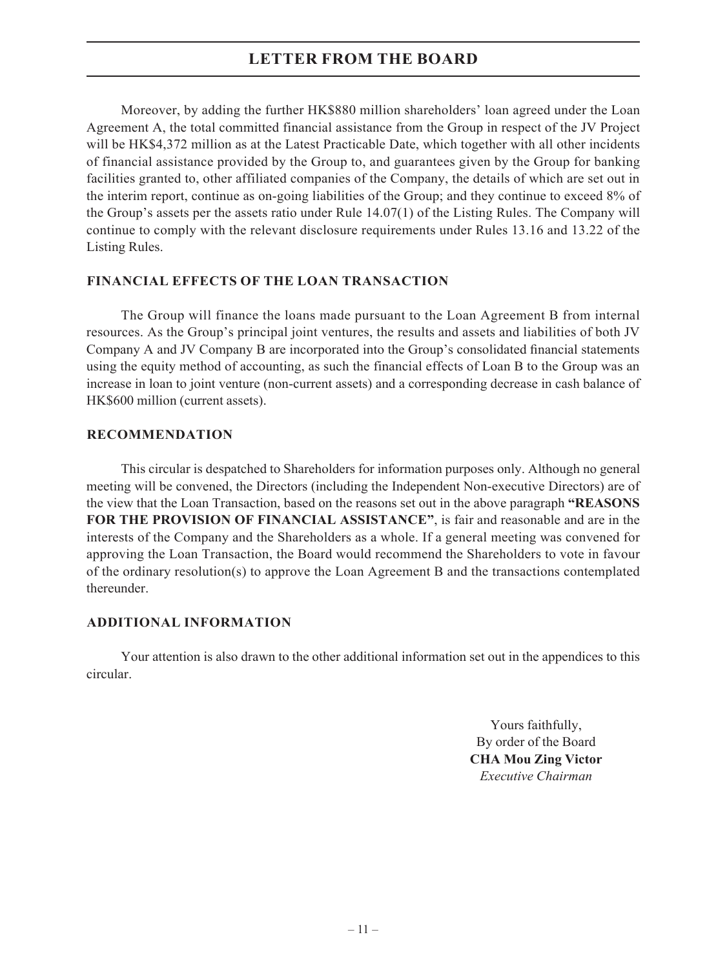Moreover, by adding the further HK\$880 million shareholders' loan agreed under the Loan Agreement A, the total committed financial assistance from the Group in respect of the JV Project will be HK\$4,372 million as at the Latest Practicable Date, which together with all other incidents of financial assistance provided by the Group to, and guarantees given by the Group for banking facilities granted to, other affiliated companies of the Company, the details of which are set out in the interim report, continue as on-going liabilities of the Group; and they continue to exceed 8% of the Group's assets per the assets ratio under Rule 14.07(1) of the Listing Rules. The Company will continue to comply with the relevant disclosure requirements under Rules 13.16 and 13.22 of the Listing Rules.

#### **FINANCIAL EFFECTS OF THE LOAN TRANSACTION**

The Group will finance the loans made pursuant to the Loan Agreement B from internal resources. As the Group's principal joint ventures, the results and assets and liabilities of both JV Company A and JV Company B are incorporated into the Group's consolidated financial statements using the equity method of accounting, as such the financial effects of Loan B to the Group was an increase in loan to joint venture (non-current assets) and a corresponding decrease in cash balance of HK\$600 million (current assets).

#### **RECOMMENDATION**

This circular is despatched to Shareholders for information purposes only. Although no general meeting will be convened, the Directors (including the Independent Non-executive Directors) are of the view that the Loan Transaction, based on the reasons set out in the above paragraph **"REASONS FOR THE PROVISION OF FINANCIAL ASSISTANCE"**, is fair and reasonable and are in the interests of the Company and the Shareholders as a whole. If a general meeting was convened for approving the Loan Transaction, the Board would recommend the Shareholders to vote in favour of the ordinary resolution(s) to approve the Loan Agreement B and the transactions contemplated thereunder.

#### **ADDITIONAL INFORMATION**

Your attention is also drawn to the other additional information set out in the appendices to this circular.

> Yours faithfully, By order of the Board **CHA Mou Zing Victor** *Executive Chairman*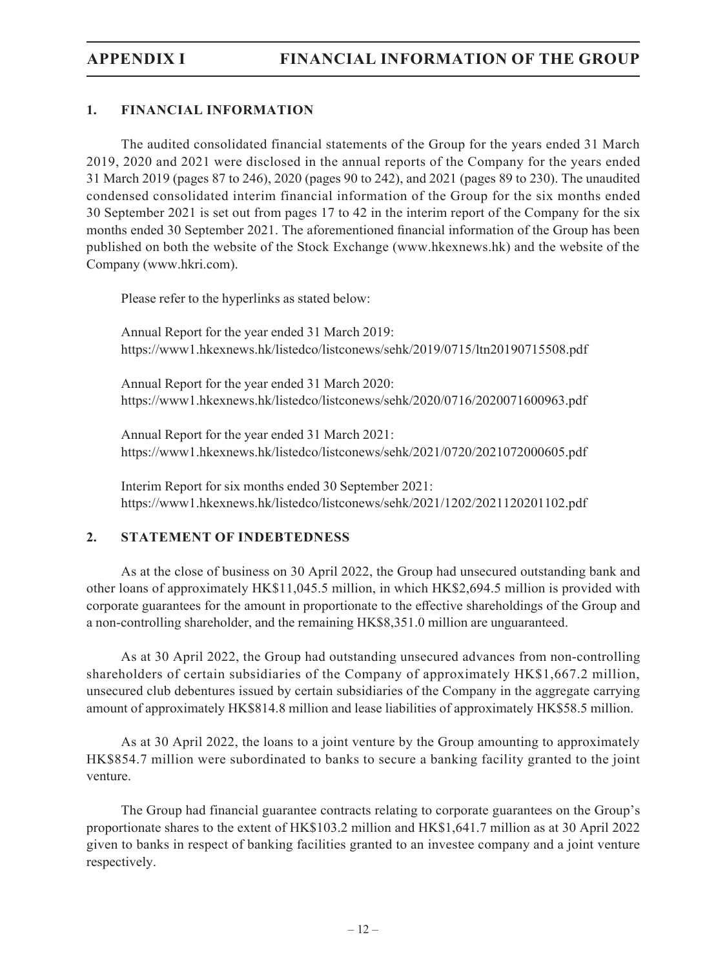### **1. FINANCIAL INFORMATION**

The audited consolidated financial statements of the Group for the years ended 31 March 2019, 2020 and 2021 were disclosed in the annual reports of the Company for the years ended 31 March 2019 (pages 87 to 246), 2020 (pages 90 to 242), and 2021 (pages 89 to 230). The unaudited condensed consolidated interim financial information of the Group for the six months ended 30 September 2021 is set out from pages 17 to 42 in the interim report of the Company for the six months ended 30 September 2021. The aforementioned financial information of the Group has been published on both the website of the Stock Exchange (www.hkexnews.hk) and the website of the Company (www.hkri.com).

Please refer to the hyperlinks as stated below:

Annual Report for the year ended 31 March 2019: https://www1.hkexnews.hk/listedco/listconews/sehk/2019/0715/ltn20190715508.pdf

Annual Report for the year ended 31 March 2020: https://www1.hkexnews.hk/listedco/listconews/sehk/2020/0716/2020071600963.pdf

Annual Report for the year ended 31 March 2021: https://www1.hkexnews.hk/listedco/listconews/sehk/2021/0720/2021072000605.pdf

Interim Report for six months ended 30 September 2021: https://www1.hkexnews.hk/listedco/listconews/sehk/2021/1202/2021120201102.pdf

#### **2. STATEMENT OF INDEBTEDNESS**

As at the close of business on 30 April 2022, the Group had unsecured outstanding bank and other loans of approximately HK\$11,045.5 million, in which HK\$2,694.5 million is provided with corporate guarantees for the amount in proportionate to the effective shareholdings of the Group and a non-controlling shareholder, and the remaining HK\$8,351.0 million are unguaranteed.

As at 30 April 2022, the Group had outstanding unsecured advances from non-controlling shareholders of certain subsidiaries of the Company of approximately HK\$1,667.2 million, unsecured club debentures issued by certain subsidiaries of the Company in the aggregate carrying amount of approximately HK\$814.8 million and lease liabilities of approximately HK\$58.5 million.

As at 30 April 2022, the loans to a joint venture by the Group amounting to approximately HK\$854.7 million were subordinated to banks to secure a banking facility granted to the joint venture.

The Group had financial guarantee contracts relating to corporate guarantees on the Group's proportionate shares to the extent of HK\$103.2 million and HK\$1,641.7 million as at 30 April 2022 given to banks in respect of banking facilities granted to an investee company and a joint venture respectively.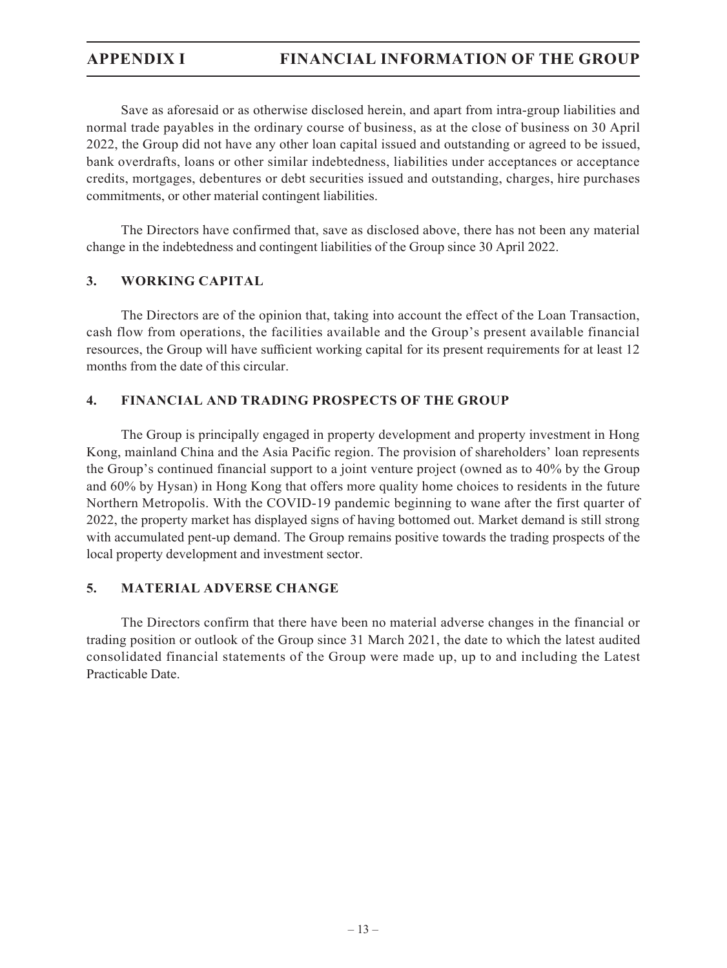Save as aforesaid or as otherwise disclosed herein, and apart from intra-group liabilities and normal trade payables in the ordinary course of business, as at the close of business on 30 April 2022, the Group did not have any other loan capital issued and outstanding or agreed to be issued, bank overdrafts, loans or other similar indebtedness, liabilities under acceptances or acceptance credits, mortgages, debentures or debt securities issued and outstanding, charges, hire purchases commitments, or other material contingent liabilities.

The Directors have confirmed that, save as disclosed above, there has not been any material change in the indebtedness and contingent liabilities of the Group since 30 April 2022.

### **3. WORKING CAPITAL**

The Directors are of the opinion that, taking into account the effect of the Loan Transaction, cash flow from operations, the facilities available and the Group's present available financial resources, the Group will have sufficient working capital for its present requirements for at least 12 months from the date of this circular.

### **4. FINANCIAL AND TRADING PROSPECTS OF THE GROUP**

The Group is principally engaged in property development and property investment in Hong Kong, mainland China and the Asia Pacific region. The provision of shareholders' loan represents the Group's continued financial support to a joint venture project (owned as to 40% by the Group and 60% by Hysan) in Hong Kong that offers more quality home choices to residents in the future Northern Metropolis. With the COVID-19 pandemic beginning to wane after the first quarter of 2022, the property market has displayed signs of having bottomed out. Market demand is still strong with accumulated pent-up demand. The Group remains positive towards the trading prospects of the local property development and investment sector.

#### **5. MATERIAL ADVERSE CHANGE**

The Directors confirm that there have been no material adverse changes in the financial or trading position or outlook of the Group since 31 March 2021, the date to which the latest audited consolidated financial statements of the Group were made up, up to and including the Latest Practicable Date.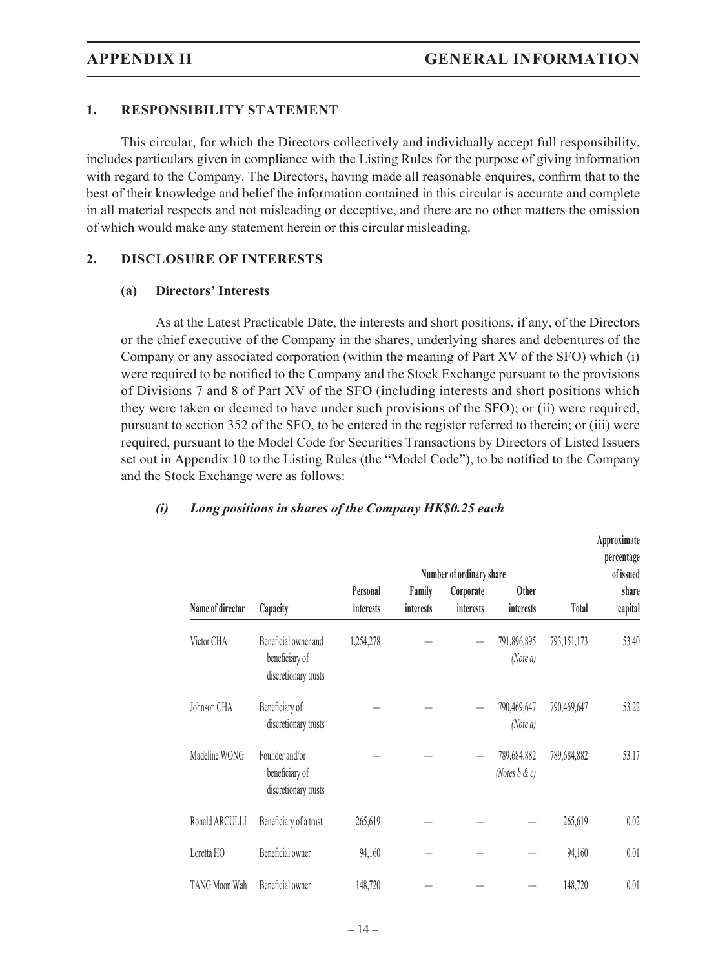#### **1. RESPONSIBILITY STATEMENT**

This circular, for which the Directors collectively and individually accept full responsibility, includes particulars given in compliance with the Listing Rules for the purpose of giving information with regard to the Company. The Directors, having made all reasonable enquires, confirm that to the best of their knowledge and belief the information contained in this circular is accurate and complete in all material respects and not misleading or deceptive, and there are no other matters the omission of which would make any statement herein or this circular misleading.

#### **2. DISCLOSURE OF INTERESTS**

#### **(a) Directors' Interests**

As at the Latest Practicable Date, the interests and short positions, if any, of the Directors or the chief executive of the Company in the shares, underlying shares and debentures of the Company or any associated corporation (within the meaning of Part XV of the SFO) which (i) were required to be notified to the Company and the Stock Exchange pursuant to the provisions of Divisions 7 and 8 of Part XV of the SFO (including interests and short positions which they were taken or deemed to have under such provisions of the SFO); or (ii) were required, pursuant to section 352 of the SFO, to be entered in the register referred to therein; or (iii) were required, pursuant to the Model Code for Securities Transactions by Directors of Listed Issuers set out in Appendix 10 to the Listing Rules (the "Model Code"), to be notified to the Company and the Stock Exchange were as follows:

#### *(i) Long positions in shares of the Company HK\$0.25 each*

|                  | Number of ordinary share                                       |                  |                  |           |                                  |              | Approximate<br>percentage<br>of issued |
|------------------|----------------------------------------------------------------|------------------|------------------|-----------|----------------------------------|--------------|----------------------------------------|
|                  |                                                                | Personal         | Family           | Corporate | <b>Other</b>                     |              | share                                  |
| Name of director | Capacity                                                       | <i>interests</i> | <i>interests</i> | interests | <i>interests</i>                 | <b>Total</b> | capital                                |
| Victor CHA       | Beneficial owner and<br>beneficiary of<br>discretionary trusts | 1,254,278        |                  |           | 791,896,895<br>(Note a)          | 793,151,173  | 53.40                                  |
| Johnson CHA      | Beneficiary of<br>discretionary trusts                         |                  |                  |           | 790,469,647<br>(Note a)          | 790,469,647  | 53.22                                  |
| Madeline WONG    | Founder and/or<br>beneficiary of<br>discretionary trusts       |                  |                  |           | 789,684,882<br>(Notes $b \& c$ ) | 789,684,882  | 53.17                                  |
| Ronald ARCULLI   | Beneficiary of a trust                                         | 265,619          |                  |           |                                  | 265,619      | 0.02                                   |
| Loretta HO       | Beneficial owner                                               | 94,160           |                  |           |                                  | 94,160       | 0.01                                   |
| TANG Moon Wah    | Beneficial owner                                               | 148,720          |                  |           |                                  | 148,720      | 0.01                                   |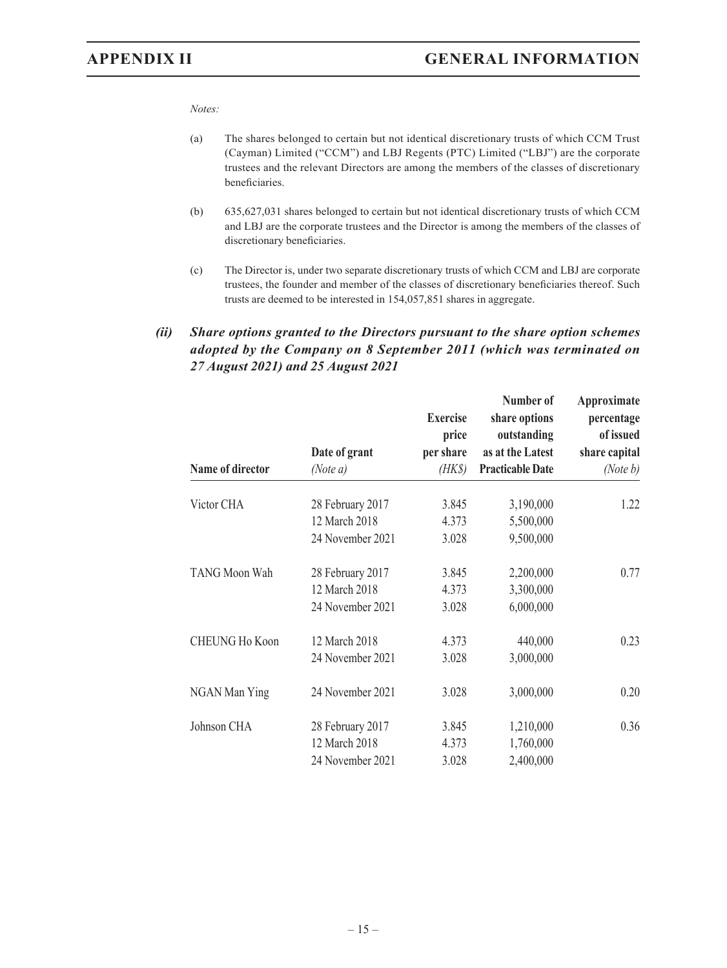*Notes:*

- (a) The shares belonged to certain but not identical discretionary trusts of which CCM Trust (Cayman) Limited ("CCM") and LBJ Regents (PTC) Limited ("LBJ") are the corporate trustees and the relevant Directors are among the members of the classes of discretionary beneficiaries.
- (b) 635,627,031 shares belonged to certain but not identical discretionary trusts of which CCM and LBJ are the corporate trustees and the Director is among the members of the classes of discretionary beneficiaries.
- (c) The Director is, under two separate discretionary trusts of which CCM and LBJ are corporate trustees, the founder and member of the classes of discretionary beneficiaries thereof. Such trusts are deemed to be interested in 154,057,851 shares in aggregate.

### *(ii) Share options granted to the Directors pursuant to the share option schemes adopted by the Company on 8 September 2011 (which was terminated on 27 August 2021) and 25 August 2021*

| Name of director      | Date of grant<br>(Note a) | <b>Exercise</b><br>price<br>per share<br>$(HK\$ | Number of<br>share options<br>outstanding<br>as at the Latest<br><b>Practicable Date</b> | Approximate<br>percentage<br>of issued<br>share capital<br>(Note b) |
|-----------------------|---------------------------|-------------------------------------------------|------------------------------------------------------------------------------------------|---------------------------------------------------------------------|
| Victor CHA            | 28 February 2017          | 3.845                                           | 3,190,000                                                                                | 1.22                                                                |
|                       | 12 March 2018             | 4.373                                           | 5,500,000                                                                                |                                                                     |
|                       | 24 November 2021          | 3.028                                           | 9,500,000                                                                                |                                                                     |
| TANG Moon Wah         | 28 February 2017          | 3.845                                           | 2,200,000                                                                                | 0.77                                                                |
|                       | 12 March 2018             | 4.373                                           | 3,300,000                                                                                |                                                                     |
|                       | 24 November 2021          | 3.028                                           | 6,000,000                                                                                |                                                                     |
| <b>CHEUNG Ho Koon</b> | 12 March 2018             | 4.373                                           | 440,000                                                                                  | 0.23                                                                |
|                       | 24 November 2021          | 3.028                                           | 3,000,000                                                                                |                                                                     |
| NGAN Man Ying         | 24 November 2021          | 3.028                                           | 3,000,000                                                                                | 0.20                                                                |
| Johnson CHA           | 28 February 2017          | 3.845                                           | 1,210,000                                                                                | 0.36                                                                |
|                       | 12 March 2018             | 4.373                                           | 1,760,000                                                                                |                                                                     |
|                       | 24 November 2021          | 3.028                                           | 2,400,000                                                                                |                                                                     |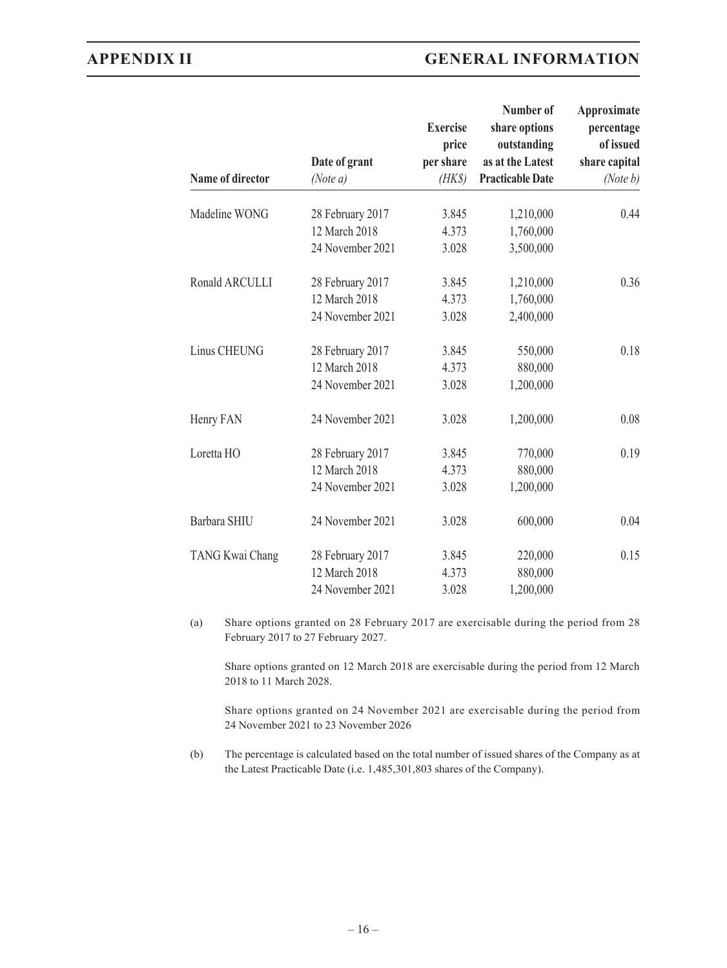## **APPENDIX II GENERAL INFORMATION**

|                  | Date of grant                     | <b>Exercise</b><br>price<br>per share | Number of<br>share options<br>outstanding<br>as at the Latest | Approximate<br>percentage<br>of issued<br>share capital |
|------------------|-----------------------------------|---------------------------------------|---------------------------------------------------------------|---------------------------------------------------------|
| Name of director | (Note a)                          | $(HK\$                                | <b>Practicable Date</b>                                       | (Note $b$ )                                             |
| Madeline WONG    | 28 February 2017                  | 3.845                                 | 1,210,000                                                     | 0.44                                                    |
|                  | 12 March 2018                     | 4.373                                 | 1,760,000                                                     |                                                         |
|                  | 24 November 2021                  | 3.028                                 | 3,500,000                                                     |                                                         |
| Ronald ARCULLI   | 28 February 2017                  | 3.845                                 | 1,210,000                                                     | 0.36                                                    |
|                  | 12 March 2018                     | 4.373                                 | 1,760,000                                                     |                                                         |
|                  | 24 November 2021                  | 3.028                                 | 2,400,000                                                     |                                                         |
| Linus CHEUNG     | 28 February 2017                  | 3.845                                 | 550,000                                                       | 0.18                                                    |
|                  | 12 March 2018                     | 4.373                                 | 880,000                                                       |                                                         |
|                  | 24 November 2021                  | 3.028                                 | 1,200,000                                                     |                                                         |
| Henry FAN        | 24 November 2021                  | 3.028                                 | 1,200,000                                                     | 0.08                                                    |
| Loretta HO       | 28 February 2017                  | 3.845                                 | 770,000                                                       | 0.19                                                    |
|                  | 12 March 2018                     | 4.373                                 | 880,000                                                       |                                                         |
|                  | 24 November 2021                  | 3.028                                 | 1,200,000                                                     |                                                         |
| Barbara SHIU     | 24 November 2021                  | 3.028                                 | 600,000                                                       | 0.04                                                    |
| TANG Kwai Chang  | 28 February 2017<br>12 March 2018 | 3.845<br>4.373                        | 220,000<br>880,000                                            | 0.15                                                    |
|                  | 24 November 2021                  | 3.028                                 | 1,200,000                                                     |                                                         |

(a) Share options granted on 28 February 2017 are exercisable during the period from 28 February 2017 to 27 February 2027.

Share options granted on 12 March 2018 are exercisable during the period from 12 March 2018 to 11 March 2028.

Share options granted on 24 November 2021 are exercisable during the period from 24 November 2021 to 23 November 2026

(b) The percentage is calculated based on the total number of issued shares of the Company as at the Latest Practicable Date (i.e. 1,485,301,803 shares of the Company).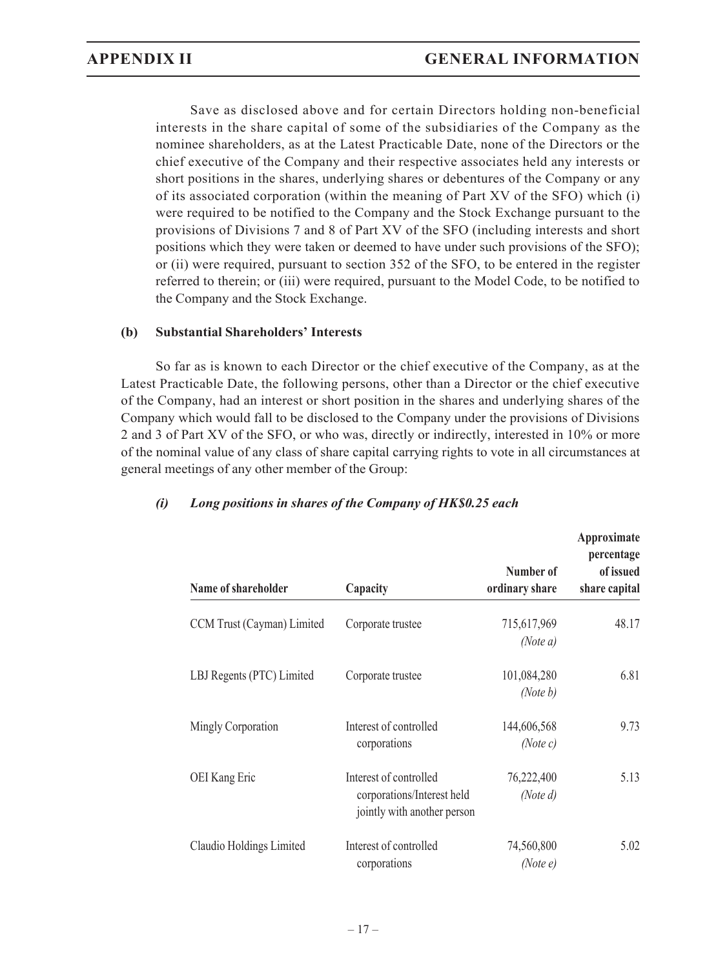Save as disclosed above and for certain Directors holding non-beneficial interests in the share capital of some of the subsidiaries of the Company as the nominee shareholders, as at the Latest Practicable Date, none of the Directors or the chief executive of the Company and their respective associates held any interests or short positions in the shares, underlying shares or debentures of the Company or any of its associated corporation (within the meaning of Part XV of the SFO) which (i) were required to be notified to the Company and the Stock Exchange pursuant to the provisions of Divisions 7 and 8 of Part XV of the SFO (including interests and short positions which they were taken or deemed to have under such provisions of the SFO); or (ii) were required, pursuant to section 352 of the SFO, to be entered in the register referred to therein; or (iii) were required, pursuant to the Model Code, to be notified to the Company and the Stock Exchange.

#### **(b) Substantial Shareholders' Interests**

So far as is known to each Director or the chief executive of the Company, as at the Latest Practicable Date, the following persons, other than a Director or the chief executive of the Company, had an interest or short position in the shares and underlying shares of the Company which would fall to be disclosed to the Company under the provisions of Divisions 2 and 3 of Part XV of the SFO, or who was, directly or indirectly, interested in 10% or more of the nominal value of any class of share capital carrying rights to vote in all circumstances at general meetings of any other member of the Group:

| Name of shareholder        | Capacity                                                                            | Number of<br>ordinary share | Approximate<br>percentage<br>of issued<br>share capital |
|----------------------------|-------------------------------------------------------------------------------------|-----------------------------|---------------------------------------------------------|
| CCM Trust (Cayman) Limited | Corporate trustee                                                                   | 715,617,969<br>(Note $a$ )  | 48.17                                                   |
| LBJ Regents (PTC) Limited  | Corporate trustee                                                                   | 101,084,280<br>(Note b)     | 6.81                                                    |
| Mingly Corporation         | Interest of controlled<br>corporations                                              | 144,606,568<br>(Note c)     | 9.73                                                    |
| OEI Kang Eric              | Interest of controlled<br>corporations/Interest held<br>jointly with another person | 76,222,400<br>(Note $d$ )   | 5.13                                                    |
| Claudio Holdings Limited   | Interest of controlled<br>corporations                                              | 74,560,800<br>(Note e)      | 5.02                                                    |

#### *(i) Long positions in shares of the Company of HK\$0.25 each*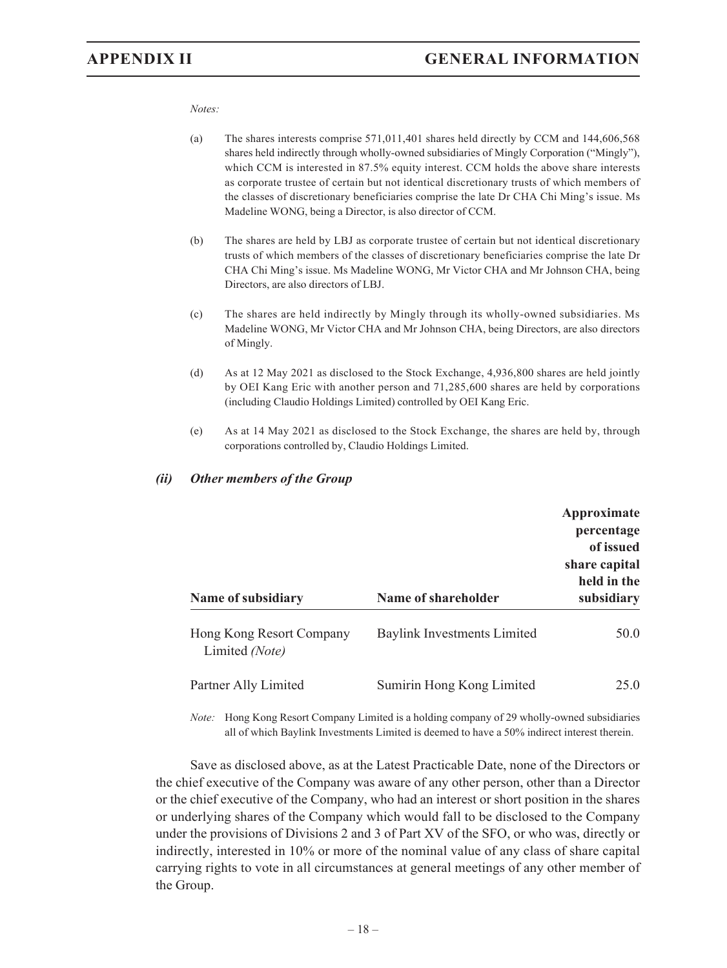#### *Notes:*

- (a) The shares interests comprise 571,011,401 shares held directly by CCM and 144,606,568 shares held indirectly through wholly-owned subsidiaries of Mingly Corporation ("Mingly"), which CCM is interested in 87.5% equity interest. CCM holds the above share interests as corporate trustee of certain but not identical discretionary trusts of which members of the classes of discretionary beneficiaries comprise the late Dr CHA Chi Ming's issue. Ms Madeline WONG, being a Director, is also director of CCM.
- (b) The shares are held by LBJ as corporate trustee of certain but not identical discretionary trusts of which members of the classes of discretionary beneficiaries comprise the late Dr CHA Chi Ming's issue. Ms Madeline WONG, Mr Victor CHA and Mr Johnson CHA, being Directors, are also directors of LBJ.
- (c) The shares are held indirectly by Mingly through its wholly-owned subsidiaries. Ms Madeline WONG, Mr Victor CHA and Mr Johnson CHA, being Directors, are also directors of Mingly.
- (d) As at 12 May 2021 as disclosed to the Stock Exchange, 4,936,800 shares are held jointly by OEI Kang Eric with another person and 71,285,600 shares are held by corporations (including Claudio Holdings Limited) controlled by OEI Kang Eric.
- (e) As at 14 May 2021 as disclosed to the Stock Exchange, the shares are held by, through corporations controlled by, Claudio Holdings Limited.

#### *(ii) Other members of the Group*

| Name of subsidiary                         | Name of shareholder                | Approximate<br>percentage<br>of issued<br>share capital<br>held in the<br>subsidiary |
|--------------------------------------------|------------------------------------|--------------------------------------------------------------------------------------|
| Hong Kong Resort Company<br>Limited (Note) | <b>Baylink Investments Limited</b> | 50.0                                                                                 |
| Partner Ally Limited                       | Sumirin Hong Kong Limited          | 25.0                                                                                 |

*Note:* Hong Kong Resort Company Limited is a holding company of 29 wholly-owned subsidiaries all of which Baylink Investments Limited is deemed to have a 50% indirect interest therein.

Save as disclosed above, as at the Latest Practicable Date, none of the Directors or the chief executive of the Company was aware of any other person, other than a Director or the chief executive of the Company, who had an interest or short position in the shares or underlying shares of the Company which would fall to be disclosed to the Company under the provisions of Divisions 2 and 3 of Part XV of the SFO, or who was, directly or indirectly, interested in 10% or more of the nominal value of any class of share capital carrying rights to vote in all circumstances at general meetings of any other member of the Group.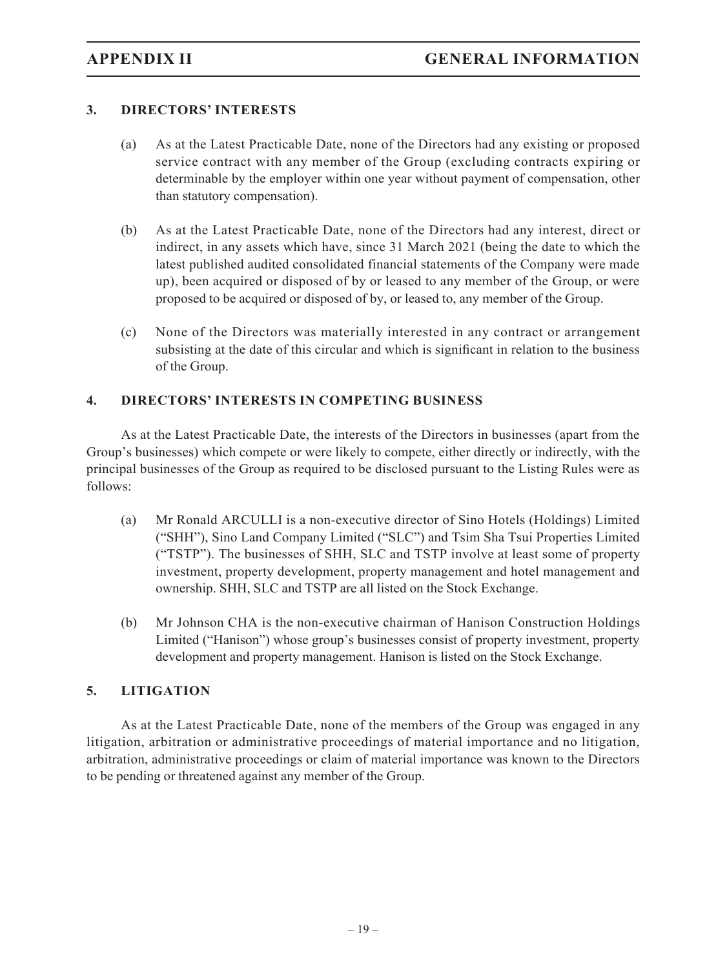### **3. DIRECTORS' INTERESTS**

- (a) As at the Latest Practicable Date, none of the Directors had any existing or proposed service contract with any member of the Group (excluding contracts expiring or determinable by the employer within one year without payment of compensation, other than statutory compensation).
- (b) As at the Latest Practicable Date, none of the Directors had any interest, direct or indirect, in any assets which have, since 31 March 2021 (being the date to which the latest published audited consolidated financial statements of the Company were made up), been acquired or disposed of by or leased to any member of the Group, or were proposed to be acquired or disposed of by, or leased to, any member of the Group.
- (c) None of the Directors was materially interested in any contract or arrangement subsisting at the date of this circular and which is significant in relation to the business of the Group.

#### **4. DIRECTORS' INTERESTS IN COMPETING BUSINESS**

As at the Latest Practicable Date, the interests of the Directors in businesses (apart from the Group's businesses) which compete or were likely to compete, either directly or indirectly, with the principal businesses of the Group as required to be disclosed pursuant to the Listing Rules were as follows:

- (a) Mr Ronald ARCULLI is a non-executive director of Sino Hotels (Holdings) Limited ("SHH"), Sino Land Company Limited ("SLC") and Tsim Sha Tsui Properties Limited ("TSTP"). The businesses of SHH, SLC and TSTP involve at least some of property investment, property development, property management and hotel management and ownership. SHH, SLC and TSTP are all listed on the Stock Exchange.
- (b) Mr Johnson CHA is the non-executive chairman of Hanison Construction Holdings Limited ("Hanison") whose group's businesses consist of property investment, property development and property management. Hanison is listed on the Stock Exchange.

#### **5. LITIGATION**

As at the Latest Practicable Date, none of the members of the Group was engaged in any litigation, arbitration or administrative proceedings of material importance and no litigation, arbitration, administrative proceedings or claim of material importance was known to the Directors to be pending or threatened against any member of the Group.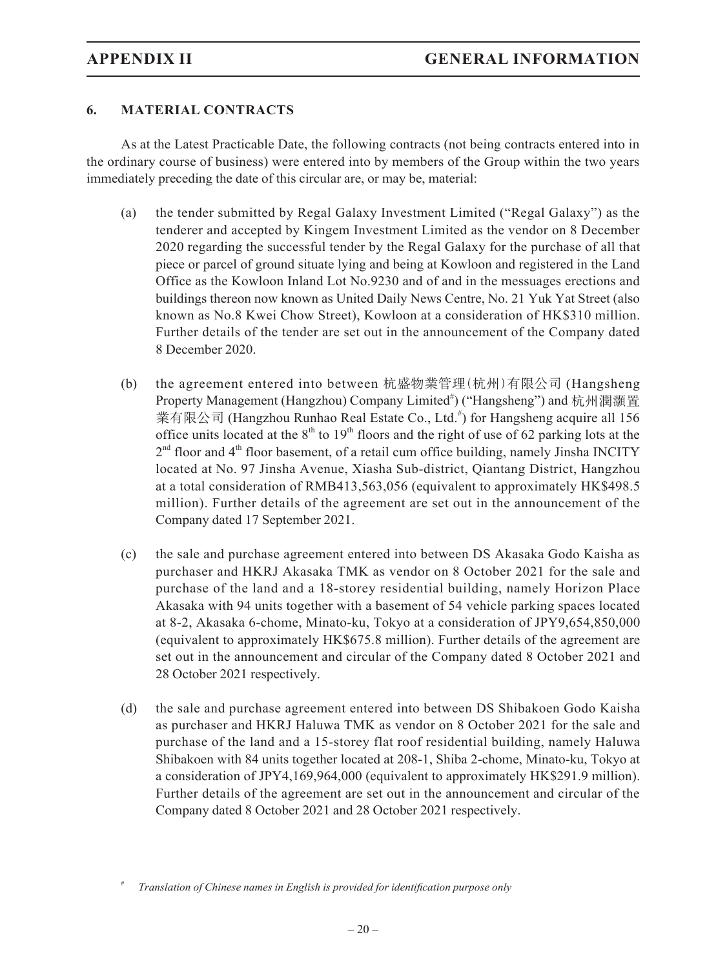### **6. MATERIAL CONTRACTS**

As at the Latest Practicable Date, the following contracts (not being contracts entered into in the ordinary course of business) were entered into by members of the Group within the two years immediately preceding the date of this circular are, or may be, material:

- (a) the tender submitted by Regal Galaxy Investment Limited ("Regal Galaxy") as the tenderer and accepted by Kingem Investment Limited as the vendor on 8 December 2020 regarding the successful tender by the Regal Galaxy for the purchase of all that piece or parcel of ground situate lying and being at Kowloon and registered in the Land Office as the Kowloon Inland Lot No.9230 and of and in the messuages erections and buildings thereon now known as United Daily News Centre, No. 21 Yuk Yat Street (also known as No.8 Kwei Chow Street), Kowloon at a consideration of HK\$310 million. Further details of the tender are set out in the announcement of the Company dated 8 December 2020.
- (b) the agreement entered into between 杭盛物業管理(杭州)有限公司 (Hangsheng Property Management (Hangzhou) Company Limited<sup>#</sup>) ("Hangsheng") and 杭州潤灝置 業有限公司 (Hangzhou Runhao Real Estate Co., Ltd.<sup>#</sup>) for Hangsheng acquire all 156 office units located at the  $8<sup>th</sup>$  to  $19<sup>th</sup>$  floors and the right of use of 62 parking lots at the  $2<sup>nd</sup>$  floor and  $4<sup>th</sup>$  floor basement, of a retail cum office building, namely Jinsha INCITY located at No. 97 Jinsha Avenue, Xiasha Sub-district, Qiantang District, Hangzhou at a total consideration of RMB413,563,056 (equivalent to approximately HK\$498.5 million). Further details of the agreement are set out in the announcement of the Company dated 17 September 2021.
- (c) the sale and purchase agreement entered into between DS Akasaka Godo Kaisha as purchaser and HKRJ Akasaka TMK as vendor on 8 October 2021 for the sale and purchase of the land and a 18-storey residential building, namely Horizon Place Akasaka with 94 units together with a basement of 54 vehicle parking spaces located at 8-2, Akasaka 6-chome, Minato-ku, Tokyo at a consideration of JPY9,654,850,000 (equivalent to approximately HK\$675.8 million). Further details of the agreement are set out in the announcement and circular of the Company dated 8 October 2021 and 28 October 2021 respectively.
- (d) the sale and purchase agreement entered into between DS Shibakoen Godo Kaisha as purchaser and HKRJ Haluwa TMK as vendor on 8 October 2021 for the sale and purchase of the land and a 15-storey flat roof residential building, namely Haluwa Shibakoen with 84 units together located at 208-1, Shiba 2-chome, Minato-ku, Tokyo at a consideration of JPY4,169,964,000 (equivalent to approximately HK\$291.9 million). Further details of the agreement are set out in the announcement and circular of the Company dated 8 October 2021 and 28 October 2021 respectively.

<sup>#</sup> *Translation of Chinese names in English is provided for identification purpose only*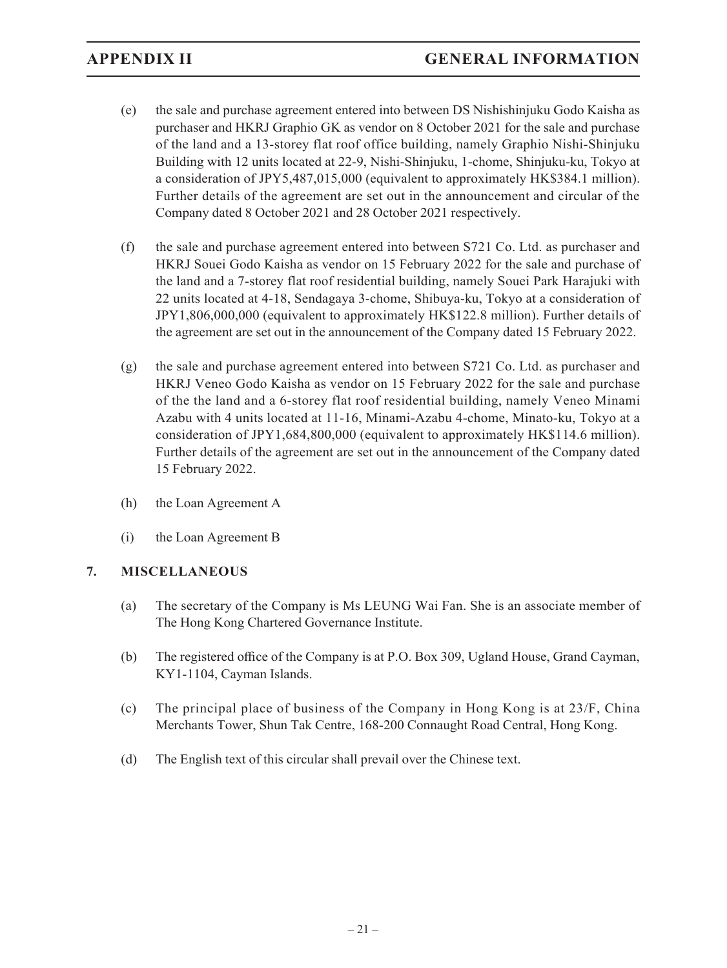- (e) the sale and purchase agreement entered into between DS Nishishinjuku Godo Kaisha as purchaser and HKRJ Graphio GK as vendor on 8 October 2021 for the sale and purchase of the land and a 13-storey flat roof office building, namely Graphio Nishi-Shinjuku Building with 12 units located at 22-9, Nishi-Shinjuku, 1-chome, Shinjuku-ku, Tokyo at a consideration of JPY5,487,015,000 (equivalent to approximately HK\$384.1 million). Further details of the agreement are set out in the announcement and circular of the Company dated 8 October 2021 and 28 October 2021 respectively.
- (f) the sale and purchase agreement entered into between S721 Co. Ltd. as purchaser and HKRJ Souei Godo Kaisha as vendor on 15 February 2022 for the sale and purchase of the land and a 7-storey flat roof residential building, namely Souei Park Harajuki with 22 units located at 4-18, Sendagaya 3-chome, Shibuya-ku, Tokyo at a consideration of JPY1,806,000,000 (equivalent to approximately HK\$122.8 million). Further details of the agreement are set out in the announcement of the Company dated 15 February 2022.
- (g) the sale and purchase agreement entered into between S721 Co. Ltd. as purchaser and HKRJ Veneo Godo Kaisha as vendor on 15 February 2022 for the sale and purchase of the the land and a 6-storey flat roof residential building, namely Veneo Minami Azabu with 4 units located at 11-16, Minami-Azabu 4-chome, Minato-ku, Tokyo at a consideration of JPY1,684,800,000 (equivalent to approximately HK\$114.6 million). Further details of the agreement are set out in the announcement of the Company dated 15 February 2022.
- (h) the Loan Agreement A
- (i) the Loan Agreement B

### **7. MISCELLANEOUS**

- (a) The secretary of the Company is Ms LEUNG Wai Fan. She is an associate member of The Hong Kong Chartered Governance Institute.
- (b) The registered office of the Company is at P.O. Box 309, Ugland House, Grand Cayman, KY1-1104, Cayman Islands.
- (c) The principal place of business of the Company in Hong Kong is at 23/F, China Merchants Tower, Shun Tak Centre, 168-200 Connaught Road Central, Hong Kong.
- (d) The English text of this circular shall prevail over the Chinese text.